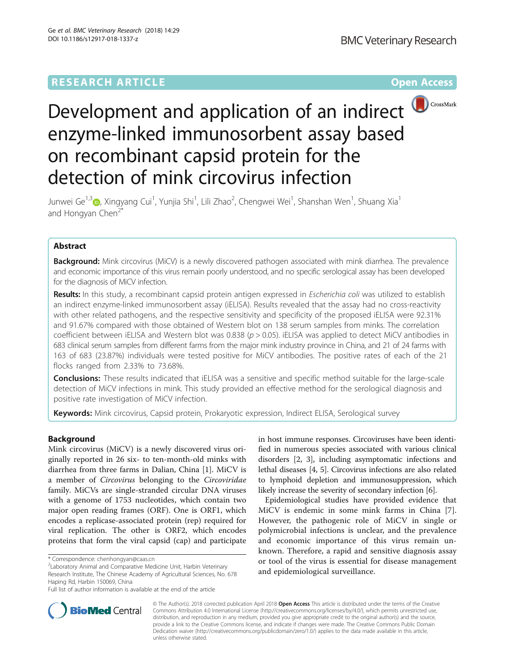# **RESEARCH ARTICLE External Structure Community Community Community Community Community Community Community Community**



# Development and application of an indirect **D**CrossMark enzyme-linked immunosorbent assay based on recombinant capsid protein for the detection of mink circovirus infection

Junwei Ge<sup>1,[3](http://orcid.org/0000-0002-2460-1666)</sup>©, Xingyang Cui<sup>1</sup>, Yunjia Shi<sup>1</sup>, Lili Zhao<sup>2</sup>, Chengwei Wei<sup>1</sup>, Shanshan Wen<sup>1</sup>, Shuang Xia<sup>1</sup> and Hongyan Chen<sup>2\*</sup>

# Abstract

Background: Mink circovirus (MiCV) is a newly discovered pathogen associated with mink diarrhea. The prevalence and economic importance of this virus remain poorly understood, and no specific serological assay has been developed for the diagnosis of MiCV infection.

Results: In this study, a recombinant capsid protein antigen expressed in Escherichia coli was utilized to establish an indirect enzyme-linked immunosorbent assay (iELISA). Results revealed that the assay had no cross-reactivity with other related pathogens, and the respective sensitivity and specificity of the proposed iELISA were 92.31% and 91.67% compared with those obtained of Western blot on 138 serum samples from minks. The correlation coefficient between iELISA and Western blot was 0.838 ( $p > 0.05$ ). iELISA was applied to detect MiCV antibodies in 683 clinical serum samples from different farms from the major mink industry province in China, and 21 of 24 farms with 163 of 683 (23.87%) individuals were tested positive for MiCV antibodies. The positive rates of each of the 21 flocks ranged from 2.33% to 73.68%.

**Conclusions:** These results indicated that iELISA was a sensitive and specific method suitable for the large-scale detection of MiCV infections in mink. This study provided an effective method for the serological diagnosis and positive rate investigation of MiCV infection.

Keywords: Mink circovirus, Capsid protein, Prokaryotic expression, Indirect ELISA, Serological survey

# Background

Mink circovirus (MiCV) is a newly discovered virus originally reported in 26 six- to ten-month-old minks with diarrhea from three farms in Dalian, China [[1\]](#page-7-0). MiCV is a member of Circovirus belonging to the Circoviridae family. MiCVs are single-stranded circular DNA viruses with a genome of 1753 nucleotides, which contain two major open reading frames (ORF). One is ORF1, which encodes a replicase-associated protein (rep) required for viral replication. The other is ORF2, which encodes proteins that form the viral capsid (cap) and participate

Laboratory Animal and Comparative Medicine Unit, Harbin Veterinary Research Institute, The Chinese Academy of Agricultural Sciences, No. 678 Haping Rd, Harbin 150069, China

in host immune responses. Circoviruses have been identified in numerous species associated with various clinical disorders [\[2](#page-7-0), [3](#page-7-0)], including asymptomatic infections and lethal diseases [[4](#page-7-0), [5\]](#page-7-0). Circovirus infections are also related to lymphoid depletion and immunosuppression, which likely increase the severity of secondary infection [[6](#page-7-0)].

Epidemiological studies have provided evidence that MiCV is endemic in some mink farms in China [\[7](#page-7-0)]. However, the pathogenic role of MiCV in single or polymicrobial infections is unclear, and the prevalence and economic importance of this virus remain unknown. Therefore, a rapid and sensitive diagnosis assay or tool of the virus is essential for disease management and epidemiological surveillance.



© The Author(s). 2018 corrected publication April 2018 Open Access This article is distributed under the terms of the Creative Commons Attribution 4.0 International License [\(http://creativecommons.org/licenses/by/4.0/\)](http://creativecommons.org/licenses/by/4.0/), which permits unrestricted use, distribution, and reproduction in any medium, provided you give appropriate credit to the original author(s) and the source, provide a link to the Creative Commons license, and indicate if changes were made. The Creative Commons Public Domain Dedication waiver [\(http://creativecommons.org/publicdomain/zero/1.0/](http://creativecommons.org/publicdomain/zero/1.0/)) applies to the data made available in this article, unless otherwise stated.

<sup>\*</sup> Correspondence: [chenhongyan@caas.cn](mailto:chenhongyan@caas.cn) <sup>2</sup>

Full list of author information is available at the end of the article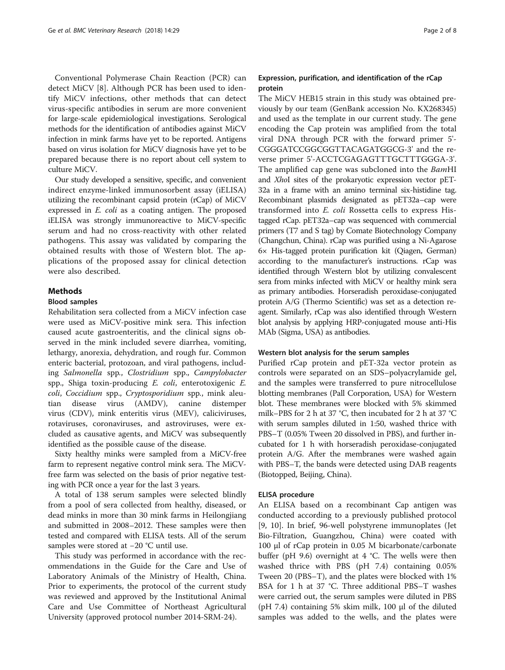Conventional Polymerase Chain Reaction (PCR) can detect MiCV [\[8](#page-7-0)]. Although PCR has been used to identify MiCV infections, other methods that can detect virus-specific antibodies in serum are more convenient for large-scale epidemiological investigations. Serological methods for the identification of antibodies against MiCV infection in mink farms have yet to be reported. Antigens based on virus isolation for MiCV diagnosis have yet to be prepared because there is no report about cell system to culture MiCV.

Our study developed a sensitive, specific, and convenient indirect enzyme-linked immunosorbent assay (iELISA) utilizing the recombinant capsid protein (rCap) of MiCV expressed in E. coli as a coating antigen. The proposed iELISA was strongly immunoreactive to MiCV-specific serum and had no cross-reactivity with other related pathogens. This assay was validated by comparing the obtained results with those of Western blot. The applications of the proposed assay for clinical detection were also described.

# Methods

#### Blood samples

Rehabilitation sera collected from a MiCV infection case were used as MiCV-positive mink sera. This infection caused acute gastroenteritis, and the clinical signs observed in the mink included severe diarrhea, vomiting, lethargy, anorexia, dehydration, and rough fur. Common enteric bacterial, protozoan, and viral pathogens, including Salmonella spp., Clostridium spp., Campylobacter spp., Shiga toxin-producing E. coli, enterotoxigenic E. coli, Coccidium spp., Cryptosporidium spp., mink aleutian disease virus (AMDV), canine distemper virus (CDV), mink enteritis virus (MEV), caliciviruses, rotaviruses, coronaviruses, and astroviruses, were excluded as causative agents, and MiCV was subsequently identified as the possible cause of the disease.

Sixty healthy minks were sampled from a MiCV-free farm to represent negative control mink sera. The MiCVfree farm was selected on the basis of prior negative testing with PCR once a year for the last 3 years.

A total of 138 serum samples were selected blindly from a pool of sera collected from healthy, diseased, or dead minks in more than 30 mink farms in Heilongjiang and submitted in 2008–2012. These samples were then tested and compared with ELISA tests. All of the serum samples were stored at −20 °C until use.

This study was performed in accordance with the recommendations in the Guide for the Care and Use of Laboratory Animals of the Ministry of Health, China. Prior to experiments, the protocol of the current study was reviewed and approved by the Institutional Animal Care and Use Committee of Northeast Agricultural University (approved protocol number 2014-SRM-24).

# Expression, purification, and identification of the rCap protein

The MiCV HEB15 strain in this study was obtained previously by our team (GenBank accession No. KX268345) and used as the template in our current study. The gene encoding the Cap protein was amplified from the total viral DNA through PCR with the forward primer 5'- CGGGATCCGGCGGTTACAGATGGCG-3' and the reverse primer 5'-ACCTCGAGAGTTTGCTTTGGGA-3'. The amplified cap gene was subcloned into the BamHI and XhoI sites of the prokaryotic expression vector pET-32a in a frame with an amino terminal six-histidine tag. Recombinant plasmids designated as pET32a–cap were transformed into E. coli Rossetta cells to express Histagged rCap. pET32a–cap was sequenced with commercial primers (T7 and S tag) by Comate Biotechnology Company (Changchun, China). rCap was purified using a Ni-Agarose 6× His-tagged protein purification kit (Qiagen, German) according to the manufacturer's instructions. rCap was identified through Western blot by utilizing convalescent sera from minks infected with MiCV or healthy mink sera as primary antibodies. Horseradish peroxidase-conjugated protein A/G (Thermo Scientific) was set as a detection reagent. Similarly, rCap was also identified through Western blot analysis by applying HRP-conjugated mouse anti-His MAb (Sigma, USA) as antibodies.

# Western blot analysis for the serum samples

Purified rCap protein and pET-32a vector protein as controls were separated on an SDS–polyacrylamide gel, and the samples were transferred to pure nitrocellulose blotting membranes (Pall Corporation, USA) for Western blot. These membranes were blocked with 5% skimmed milk–PBS for 2 h at 37 °C, then incubated for 2 h at 37 °C with serum samples diluted in 1:50, washed thrice with PBS–T (0.05% Tween 20 dissolved in PBS), and further incubated for 1 h with horseradish peroxidase-conjugated protein A/G. After the membranes were washed again with PBS–T, the bands were detected using DAB reagents (Biotopped, Beijing, China).

# ELISA procedure

An ELISA based on a recombinant Cap antigen was conducted according to a previously published protocol [[9, 10](#page-7-0)]. In brief, 96-well polystyrene immunoplates (Jet Bio-Filtration, Guangzhou, China) were coated with 100 μl of rCap protein in 0.05 M bicarbonate/carbonate buffer (pH 9.6) overnight at 4 °C. The wells were then washed thrice with PBS (pH 7.4) containing 0.05% Tween 20 (PBS–T), and the plates were blocked with 1% BSA for 1 h at 37 °C. Three additional PBS–T washes were carried out, the serum samples were diluted in PBS (pH 7.4) containing 5% skim milk, 100 μl of the diluted samples was added to the wells, and the plates were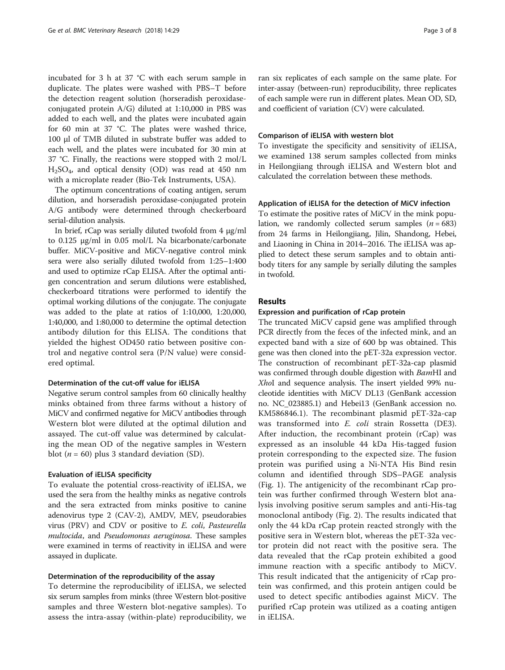incubated for 3 h at 37 °C with each serum sample in duplicate. The plates were washed with PBS–T before the detection reagent solution (horseradish peroxidaseconjugated protein A/G) diluted at 1:10,000 in PBS was added to each well, and the plates were incubated again for 60 min at 37 °C. The plates were washed thrice, 100 μl of TMB diluted in substrate buffer was added to each well, and the plates were incubated for 30 min at 37 °C. Finally, the reactions were stopped with 2 mol/L H2SO4, and optical density (OD) was read at 450 nm with a microplate reader (Bio-Tek Instruments, USA).

The optimum concentrations of coating antigen, serum dilution, and horseradish peroxidase-conjugated protein A/G antibody were determined through checkerboard serial-dilution analysis.

In brief, rCap was serially diluted twofold from 4 μg/ml to 0.125 μg/ml in 0.05 mol/L Na bicarbonate/carbonate buffer. MiCV-positive and MiCV-negative control mink sera were also serially diluted twofold from 1:25–1:400 and used to optimize rCap ELISA. After the optimal antigen concentration and serum dilutions were established, checkerboard titrations were performed to identify the optimal working dilutions of the conjugate. The conjugate was added to the plate at ratios of 1:10,000, 1:20,000, 1:40,000, and 1:80,000 to determine the optimal detection antibody dilution for this ELISA. The conditions that yielded the highest OD450 ratio between positive control and negative control sera (P/N value) were considered optimal.

## Determination of the cut-off value for iELISA

Negative serum control samples from 60 clinically healthy minks obtained from three farms without a history of MiCV and confirmed negative for MiCV antibodies through Western blot were diluted at the optimal dilution and assayed. The cut-off value was determined by calculating the mean OD of the negative samples in Western blot ( $n = 60$ ) plus 3 standard deviation (SD).

#### Evaluation of iELISA specificity

To evaluate the potential cross-reactivity of iELISA, we used the sera from the healthy minks as negative controls and the sera extracted from minks positive to canine adenovirus type 2 (CAV-2), AMDV, MEV, pseudorabies virus (PRV) and CDV or positive to E. coli, Pasteurella multocida, and Pseudomonas aeruginosa. These samples were examined in terms of reactivity in iELISA and were assayed in duplicate.

# Determination of the reproducibility of the assay

To determine the reproducibility of iELISA, we selected six serum samples from minks (three Western blot-positive samples and three Western blot-negative samples). To assess the intra-assay (within-plate) reproducibility, we ran six replicates of each sample on the same plate. For inter-assay (between-run) reproducibility, three replicates of each sample were run in different plates. Mean OD, SD, and coefficient of variation (CV) were calculated.

#### Comparison of iELISA with western blot

To investigate the specificity and sensitivity of iELISA, we examined 138 serum samples collected from minks in Heilongjiang through iELISA and Western blot and calculated the correlation between these methods.

## Application of iELISA for the detection of MiCV infection

To estimate the positive rates of MiCV in the mink population, we randomly collected serum samples  $(n = 683)$ from 24 farms in Heilongjiang, Jilin, Shandong, Hebei, and Liaoning in China in 2014–2016. The iELISA was applied to detect these serum samples and to obtain antibody titers for any sample by serially diluting the samples in twofold.

# Results

#### Expression and purification of rCap protein

The truncated MiCV capsid gene was amplified through PCR directly from the feces of the infected mink, and an expected band with a size of 600 bp was obtained. This gene was then cloned into the pET-32a expression vector. The construction of recombinant pET-32a-cap plasmid was confirmed through double digestion with BamHI and XhoI and sequence analysis. The insert yielded 99% nucleotide identities with MiCV DL13 (GenBank accession no. NC\_023885.1) and Hebei13 (GenBank accession no. KM586846.1). The recombinant plasmid pET-32a-cap was transformed into E. coli strain Rossetta (DE3). After induction, the recombinant protein (rCap) was expressed as an insoluble 44 kDa His-tagged fusion protein corresponding to the expected size. The fusion protein was purified using a Ni-NTA His Bind resin column and identified through SDS–PAGE analysis (Fig. [1](#page-3-0)). The antigenicity of the recombinant rCap protein was further confirmed through Western blot analysis involving positive serum samples and anti-His-tag monoclonal antibody (Fig. [2](#page-3-0)). The results indicated that only the 44 kDa rCap protein reacted strongly with the positive sera in Western blot, whereas the pET-32a vector protein did not react with the positive sera. The data revealed that the rCap protein exhibited a good immune reaction with a specific antibody to MiCV. This result indicated that the antigenicity of rCap protein was confirmed, and this protein antigen could be used to detect specific antibodies against MiCV. The purified rCap protein was utilized as a coating antigen in iELISA.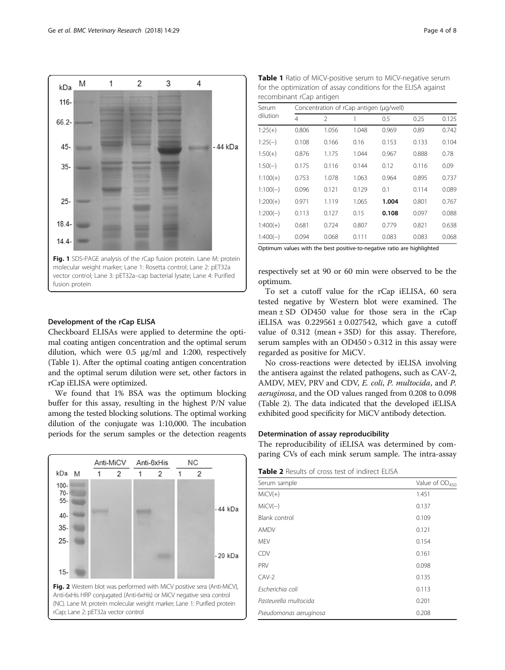<span id="page-3-0"></span>

# Development of the rCap ELISA

Checkboard ELISAs were applied to determine the optimal coating antigen concentration and the optimal serum dilution, which were 0.5 μg/ml and 1:200, respectively (Table 1). After the optimal coating antigen concentration and the optimal serum dilution were set, other factors in rCap iELISA were optimized.

We found that 1% BSA was the optimum blocking buffer for this assay, resulting in the highest P/N value among the tested blocking solutions. The optimal working dilution of the conjugate was 1:10,000. The incubation periods for the serum samples or the detection reagents



Table 1 Ratio of MiCV-positive serum to MiCV-negative serum for the optimization of assay conditions for the ELISA against recombinant rCap antigen

| Serum<br>dilution |       | Concentration of rCap antigen (µg/well) |       |       |       |       |  |  |  |
|-------------------|-------|-----------------------------------------|-------|-------|-------|-------|--|--|--|
|                   | 4     | $\mathfrak{D}$                          | 1     | 0.5   | 0.25  | 0.125 |  |  |  |
| $1:25(+)$         | 0.806 | 1.056                                   | 1.048 | 0.969 | 0.89  | 0.742 |  |  |  |
| $1:25(-)$         | 0.108 | 0.166                                   | 0.16  | 0.153 | 0.133 | 0.104 |  |  |  |
| $1:50(+)$         | 0.876 | 1.175                                   | 1.044 | 0.967 | 0.888 | 0.78  |  |  |  |
| $1:50(-)$         | 0.175 | 0.116                                   | 0.144 | 0.12  | 0.116 | 0.09  |  |  |  |
| $1:100(+)$        | 0.753 | 1.078                                   | 1.063 | 0.964 | 0.895 | 0.737 |  |  |  |
| $1:100(-)$        | 0.096 | 0.121                                   | 0.129 | 0.1   | 0.114 | 0.089 |  |  |  |
| $1:200(+)$        | 0.971 | 1.119                                   | 1.065 | 1.004 | 0.801 | 0.767 |  |  |  |
| $1:200(-)$        | 0.113 | 0.127                                   | 0.15  | 0.108 | 0.097 | 0.088 |  |  |  |
| $1:400(+)$        | 0.681 | 0.724                                   | 0.807 | 0.779 | 0.821 | 0.638 |  |  |  |
| $1:400(-)$        | 0.094 | 0.068                                   | 0.111 | 0.083 | 0.083 | 0.068 |  |  |  |

Optimum values with the best positive-to-negative ratio are highlighted

respectively set at 90 or 60 min were observed to be the optimum.

To set a cutoff value for the rCap iELISA, 60 sera tested negative by Western blot were examined. The mean  $\pm$  SD OD450 value for those sera in the rCap iELISA was  $0.229561 \pm 0.027542$ , which gave a cutoff value of 0.312 (mean + 3SD) for this assay. Therefore, serum samples with an OD450 > 0.312 in this assay were regarded as positive for MiCV.

No cross-reactions were detected by iELISA involving the antisera against the related pathogens, such as CAV-2, AMDV, MEV, PRV and CDV, E. coli, P. multocida, and P. aeruginosa, and the OD values ranged from 0.208 to 0.098 (Table 2). The data indicated that the developed iELISA exhibited good specificity for MiCV antibody detection.

# Determination of assay reproducibility

The reproducibility of iELISA was determined by comparing CVs of each mink serum sample. The intra-assay

Table 2 Results of cross test of indirect ELISA

| Serum sample           | Value of OD <sub>450</sub> |
|------------------------|----------------------------|
| $MiCV(+)$              | 1.451                      |
| $MiCV(-)$              | 0.137                      |
| Blank control          | 0.109                      |
| AMDV                   | 0.121                      |
| <b>MEV</b>             | 0.154                      |
| <b>CDV</b>             | 0.161                      |
| PRV                    | 0.098                      |
| $CAV-2$                | 0.135                      |
| Escherichia coli       | 0.113                      |
| Pasteurella multocida  | 0.201                      |
| Pseudomonas aeruginosa | 0.208                      |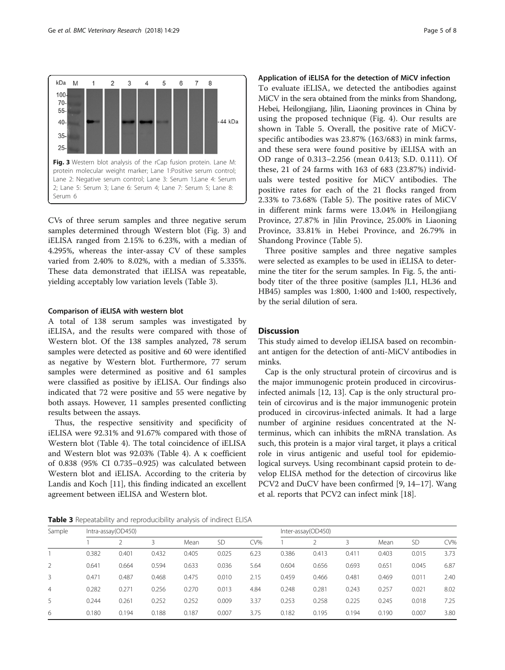

CVs of three serum samples and three negative serum samples determined through Western blot (Fig. 3) and iELISA ranged from 2.15% to 6.23%, with a median of 4.295%, whereas the inter-assay CV of these samples varied from 2.40% to 8.02%, with a median of 5.335%. These data demonstrated that iELISA was repeatable, yielding acceptably low variation levels (Table 3).

### Comparison of iELISA with western blot

A total of 138 serum samples was investigated by iELISA, and the results were compared with those of Western blot. Of the 138 samples analyzed, 78 serum samples were detected as positive and 60 were identified as negative by Western blot. Furthermore, 77 serum samples were determined as positive and 61 samples were classified as positive by iELISA. Our findings also indicated that 72 were positive and 55 were negative by both assays. However, 11 samples presented conflicting results between the assays.

Thus, the respective sensitivity and specificity of iELISA were 92.31% and 91.67% compared with those of Western blot (Table [4](#page-5-0)). The total coincidence of iELISA and Western blot was 92.03% (Table [4\)](#page-5-0). A κ coefficient of 0.838 (95% CI 0.735–0.925) was calculated between Western blot and iELISA. According to the criteria by Landis and Koch [[11\]](#page-7-0), this finding indicated an excellent agreement between iELISA and Western blot.

# Application of iELISA for the detection of MiCV infection

To evaluate iELISA, we detected the antibodies against MiCV in the sera obtained from the minks from Shandong, Hebei, Heilongjiang, Jilin, Liaoning provinces in China by using the proposed technique (Fig. [4\)](#page-5-0). Our results are shown in Table [5](#page-6-0). Overall, the positive rate of MiCVspecific antibodies was 23.87% (163/683) in mink farms, and these sera were found positive by iELISA with an OD range of 0.313–2.256 (mean 0.413; S.D. 0.111). Of these, 21 of 24 farms with 163 of 683 (23.87%) individuals were tested positive for MiCV antibodies. The positive rates for each of the 21 flocks ranged from 2.33% to 73.68% (Table [5](#page-6-0)). The positive rates of MiCV in different mink farms were 13.04% in Heilongjiang Province, 27.87% in Jilin Province, 25.00% in Liaoning Province, 33.81% in Hebei Province, and 26.79% in Shandong Province (Table [5](#page-6-0)).

Three positive samples and three negative samples were selected as examples to be used in iELISA to determine the titer for the serum samples. In Fig. [5,](#page-6-0) the antibody titer of the three positive (samples JL1, HL36 and HB45) samples was 1:800, 1:400 and 1:400, respectively, by the serial dilution of sera.

# **Discussion**

This study aimed to develop iELISA based on recombinant antigen for the detection of anti-MiCV antibodies in minks.

Cap is the only structural protein of circovirus and is the major immunogenic protein produced in circovirusinfected animals [\[12](#page-7-0), [13](#page-7-0)]. Cap is the only structural protein of circovirus and is the major immunogenic protein produced in circovirus-infected animals. It had a large number of arginine residues concentrated at the Nterminus, which can inhibits the mRNA translation. As such, this protein is a major viral target, it plays a critical role in virus antigenic and useful tool for epidemiological surveys. Using recombinant capsid protein to develop ELISA method for the detection of circovirus like PCV2 and DuCV have been confirmed [\[9](#page-7-0), [14](#page-7-0)–[17\]](#page-7-0). Wang et al. reports that PCV2 can infect mink [[18\]](#page-7-0).

Table 3 Repeatability and reproducibility analysis of indirect ELISA

| Sample         | Intra-assay(OD450) |       |       |       |           | Inter-assay(OD450) |       |       |       |       |       |      |
|----------------|--------------------|-------|-------|-------|-----------|--------------------|-------|-------|-------|-------|-------|------|
|                |                    |       |       | Mean  | <b>SD</b> | CV%                |       |       |       | Mean  | SD    | CV%  |
|                | 0.382              | 0.401 | 0.432 | 0.405 | 0.025     | 6.23               | 0.386 | 0.413 | 0.411 | 0.403 | 0.015 | 3.73 |
| 2              | 0.641              | 0.664 | 0.594 | 0.633 | 0.036     | 5.64               | 0.604 | 0.656 | 0.693 | 0.651 | 0.045 | 6.87 |
| 3              | 0.471              | 0.487 | 0.468 | 0.475 | 0.010     | 2.15               | 0.459 | 0.466 | 0.481 | 0.469 | 0.011 | 2.40 |
| $\overline{4}$ | 0.282              | 0.271 | 0.256 | 0.270 | 0.013     | 4.84               | 0.248 | 0.281 | 0.243 | 0.257 | 0.021 | 8.02 |
| 5              | 0.244              | 0.261 | 0.252 | 0.252 | 0.009     | 3.37               | 0.253 | 0.258 | 0.225 | 0.245 | 0.018 | 7.25 |
| 6              | 0.180              | 0.194 | 0.188 | 0.187 | 0.007     | 3.75               | 0.182 | 0.195 | 0.194 | 0.190 | 0.007 | 3.80 |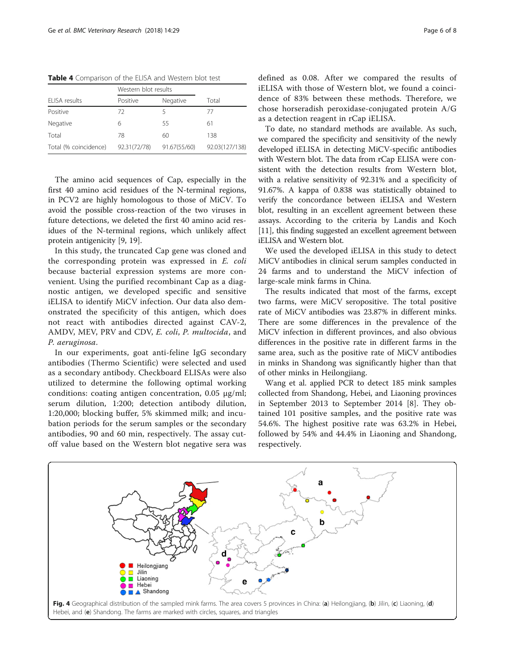<span id="page-5-0"></span>Table 4 Comparison of the ELISA and Western blot test

|                       | Western blot results |                          |                |  |
|-----------------------|----------------------|--------------------------|----------------|--|
| ELISA results         | Positive             | Negative                 | Total          |  |
| Positive              | 72                   | $\overline{\phantom{a}}$ | 77             |  |
| Negative              | 6                    | 55                       | 61             |  |
| Total                 | 78                   | 60                       | 138            |  |
| Total (% coincidence) | 92.31(72/78)         | 91.67(55/60)             | 92.03(127/138) |  |

The amino acid sequences of Cap, especially in the first 40 amino acid residues of the N-terminal regions, in PCV2 are highly homologous to those of MiCV. To avoid the possible cross-reaction of the two viruses in future detections, we deleted the first 40 amino acid residues of the N-terminal regions, which unlikely affect protein antigenicity [\[9](#page-7-0), [19](#page-7-0)].

In this study, the truncated Cap gene was cloned and the corresponding protein was expressed in E. coli because bacterial expression systems are more convenient. Using the purified recombinant Cap as a diagnostic antigen, we developed specific and sensitive iELISA to identify MiCV infection. Our data also demonstrated the specificity of this antigen, which does not react with antibodies directed against CAV-2, AMDV, MEV, PRV and CDV, E. coli, P. multocida, and P. aeruginosa.

In our experiments, goat anti-feline IgG secondary antibodies (Thermo Scientific) were selected and used as a secondary antibody. Checkboard ELISAs were also utilized to determine the following optimal working conditions: coating antigen concentration, 0.05 μg/ml; serum dilution, 1:200; detection antibody dilution, 1:20,000; blocking buffer, 5% skimmed milk; and incubation periods for the serum samples or the secondary antibodies, 90 and 60 min, respectively. The assay cutoff value based on the Western blot negative sera was defined as 0.08. After we compared the results of iELISA with those of Western blot, we found a coincidence of 83% between these methods. Therefore, we chose horseradish peroxidase-conjugated protein A/G as a detection reagent in rCap iELISA.

To date, no standard methods are available. As such, we compared the specificity and sensitivity of the newly developed iELISA in detecting MiCV-specific antibodies with Western blot. The data from rCap ELISA were consistent with the detection results from Western blot, with a relative sensitivity of 92.31% and a specificity of 91.67%. A kappa of 0.838 was statistically obtained to verify the concordance between iELISA and Western blot, resulting in an excellent agreement between these assays. According to the criteria by Landis and Koch [[11\]](#page-7-0), this finding suggested an excellent agreement between iELISA and Western blot.

We used the developed iELISA in this study to detect MiCV antibodies in clinical serum samples conducted in 24 farms and to understand the MiCV infection of large-scale mink farms in China.

The results indicated that most of the farms, except two farms, were MiCV seropositive. The total positive rate of MiCV antibodies was 23.87% in different minks. There are some differences in the prevalence of the MiCV infection in different provinces, and also obvious differences in the positive rate in different farms in the same area, such as the positive rate of MiCV antibodies in minks in Shandong was significantly higher than that of other minks in Heilongjiang.

Wang et al. applied PCR to detect 185 mink samples collected from Shandong, Hebei, and Liaoning provinces in September 2013 to September 2014 [\[8](#page-7-0)]. They obtained 101 positive samples, and the positive rate was 54.6%. The highest positive rate was 63.2% in Hebei, followed by 54% and 44.4% in Liaoning and Shandong, respectively.

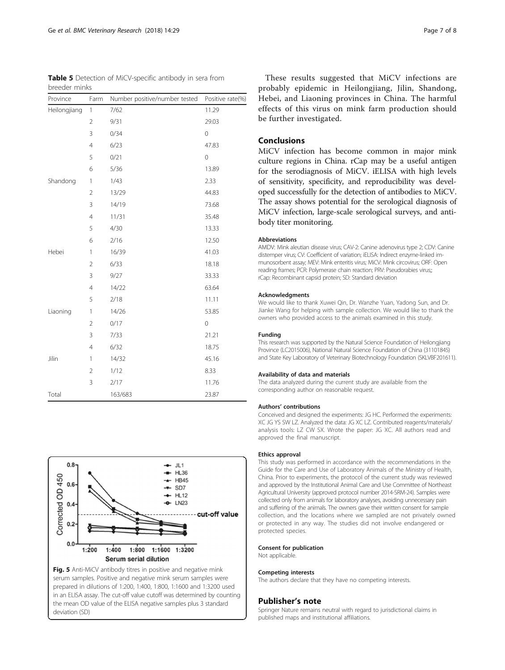These results suggested that MiCV infections are probably epidemic in Heilongjiang, Jilin, Shandong, Hebei, and Liaoning provinces in China. The harmful effects of this virus on mink farm production should be further investigated.

# Conclusions

MiCV infection has become common in major mink culture regions in China. rCap may be a useful antigen for the serodiagnosis of MiCV. iELISA with high levels of sensitivity, specificity, and reproducibility was developed successfully for the detection of antibodies to MiCV. The assay shows potential for the serological diagnosis of MiCV infection, large-scale serological surveys, and antibody titer monitoring.

#### Abbreviations

AMDV: Mink aleutian disease virus; CAV-2: Canine adenovirus type 2; CDV: Canine distemper virus; CV: Coefficient of variation; iELISA: Indirect enzyme-linked immunosorbent assay; MEV: Mink enteritis virus; MiCV: Mink circovirus; ORF: Open reading frames; PCR: Polymerase chain reaction; PRV: Pseudorabies virus;; rCap: Recombinant capsid protein; SD: Standard deviation

## Acknowledgments

We would like to thank Xuwei Qin, Dr. Wanzhe Yuan, Yadong Sun, and Dr. Jianke Wang for helping with sample collection. We would like to thank the owners who provided access to the animals examined in this study.

#### Funding

This research was supported by the Natural Science Foundation of Heilongjiang Province (LC2015006), National Natural Science Foundation of China (31101845) and State Key Laboratory of Veterinary Biotechnology Foundation (SKLVBF201611).

#### Availability of data and materials

The data analyzed during the current study are available from the corresponding author on reasonable request.

#### Authors' contributions

Conceived and designed the experiments: JG HC. Performed the experiments: XC JG YS SW LZ. Analyzed the data: JG XC LZ. Contributed reagents/materials/ analysis tools: LZ CW SX. Wrote the paper: JG XC. All authors read and approved the final manuscript.

#### Ethics approval

This study was performed in accordance with the recommendations in the Guide for the Care and Use of Laboratory Animals of the Ministry of Health, China. Prior to experiments, the protocol of the current study was reviewed and approved by the Institutional Animal Care and Use Committee of Northeast Agricultural University (approved protocol number 2014-SRM-24). Samples were collected only from animals for laboratory analyses, avoiding unnecessary pain and suffering of the animals. The owners gave their written consent for sample collection, and the locations where we sampled are not privately owned or protected in any way. The studies did not involve endangered or protected species.

#### Consent for publication

Not applicable.

#### Competing interests

The authors declare that they have no competing interests.

# Publisher's note

Springer Nature remains neutral with regard to jurisdictional claims in published maps and institutional affiliations.

<span id="page-6-0"></span>

| Province     | Farm           | Number positive/number tested | Positive rate(%) |
|--------------|----------------|-------------------------------|------------------|
| Heilongjiang | 1              | 7/62                          | 11.29            |
|              | $\overline{2}$ | 9/31                          | 29.03            |
|              | 3              | 0/34                          | 0                |
|              | $\overline{4}$ | 6/23                          | 47.83            |
|              | 5              | 0/21                          | 0                |
|              | 6              | 5/36                          | 13.89            |
| Shandong     | $\mathbf{1}$   | 1/43                          | 2.33             |
|              | $\overline{2}$ | 13/29                         | 44.83            |
|              | 3              | 14/19                         | 73.68            |
|              | $\overline{4}$ | 11/31                         | 35.48            |
|              | 5              | 4/30                          | 13.33            |
|              | 6              | 2/16                          | 12.50            |
| Hebei        | $\mathbf{1}$   | 16/39                         | 41.03            |
|              | $\overline{2}$ | 6/33                          | 18.18            |
|              | 3              | 9/27                          | 33.33            |
|              | $\overline{4}$ | 14/22                         | 63.64            |
|              | 5              | 2/18                          | 11.11            |
| Liaoning     | $\mathbf{1}$   | 14/26                         | 53.85            |
|              | $\overline{2}$ | 0/17                          | $\mathbf 0$      |
|              | 3              | 7/33                          | 21.21            |
|              | $\overline{4}$ | 6/32                          | 18.75            |
| Jilin        | $\mathbf{1}$   | 14/32                         | 45.16            |
|              | $\overline{2}$ | 1/12                          | 8.33             |
|              | 3              | 2/17                          | 11.76            |
| Total        |                | 163/683                       | 23.87            |



JL1

serum samples. Positive and negative mink serum samples were prepared in dilutions of 1:200, 1:400, 1:800, 1:1600 and 1:3200 used in an ELISA assay. The cut-off value cutoff was determined by counting the mean OD value of the ELISA negative samples plus 3 standard

deviation (SD)

 $0.8$